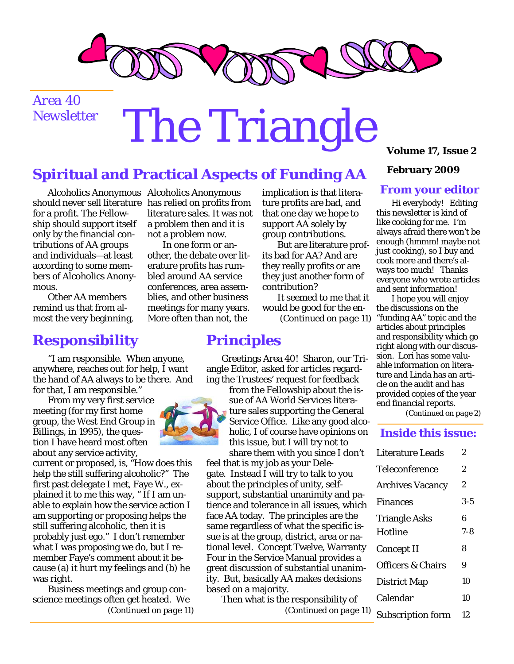

*Area 40 Newsletter* 

# The Triangle

# **Spiritual and Practical Aspects of Funding AA**

for a profit. The Fellowship should support itself only by the financial contributions of AA groups and individuals—at least according to some members of Alcoholics Anonymous.

Other AA members remind us that from almost the very beginning,

# **Responsibility**

"I am responsible. When anyone, anywhere, reaches out for help, I want the hand of AA always to be there. And for that, I am responsible."

From my very first service meeting (for my first home group, the West End Group in Billings, in 1995), the question I have heard most often about any service activity,

current or proposed, is, "How does this help the still suffering alcoholic?" The first past delegate I met, Faye W., explained it to me this way, " If I am unable to explain how the service action I am supporting or proposing helps the still suffering alcoholic, then it is probably just ego." I don't remember what I was proposing we do, but I remember Faye's comment about it because (a) it hurt my feelings and (b) he was right.

Business meetings and group conscience meetings often get heated. We *(Continued on page 11)* 

Alcoholics Anonymous Alcoholics Anonymous should never sell literature has relied on profits from literature sales. It was not a problem then and it is not a problem now.

> In one form or another, the debate over literature profits has rumbled around AA service conferences, area assemblies, and other business meetings for many years. More often than not, the

> > **Principles**

Greetings Area 40! Sharon, our Triangle Editor, asked for articles regarding the Trustees' request for feedback

contribution?

from the Fellowship about the issue of AA World Services literature sales supporting the General Service Office. Like any good alcoholic, I of course have opinions on this issue, but I will try not to share them with you since I don't

implication is that literature profits are bad, and that one day we hope to support AA solely by group contributions.

its bad for AA? And are they really profits or are they just another form of

But are literature prof-

It seemed to me that it would be good for the en- *(Continued on page 11)* 

feel that is my job as your Delegate. Instead I will try to talk to you about the principles of unity, selfsupport, substantial unanimity and patience and tolerance in all issues, which face AA today. The principles are the same regardless of what the specific issue is at the group, district, area or national level. Concept Twelve, Warranty Four in the Service Manual provides a great discussion of substantial unanimity. But, basically AA makes decisions based on a majority.

Then what is the responsibility of *(Continued on page 11)* 

## **Volume 17, Issue 2**

# **February 2009**

## **From your editor**

Hi everybody! Editing this newsletter is kind of like cooking for me. I'm always afraid there won't be enough (hmmm! maybe not just cooking), so I buy and cook more and there's always too much! Thanks everyone who wrote articles and sent information!

I hope you will enjoy the discussions on the "funding AA" topic and the articles about principles and responsibility which go right along with our discussion. Lori has some valuable information on literature and Linda has an article on the audit and has provided copies of the year end financial reports.

*(Continued on page 2)* 

# **Inside this issue:**

| Literature Leads             | 2   |
|------------------------------|-----|
| Teleconference               | 2   |
| <b>Archives Vacancy</b>      | 2   |
| <b>Finances</b>              | 3-5 |
| <b>Triangle Asks</b>         | 6   |
| Hotline                      | 7-8 |
| <b>Concept II</b>            | 8   |
| <b>Officers &amp; Chairs</b> | 9   |
| <b>District Map</b>          | 10  |
| Calendar                     | 10  |
| <b>Subscription form</b>     | 12  |

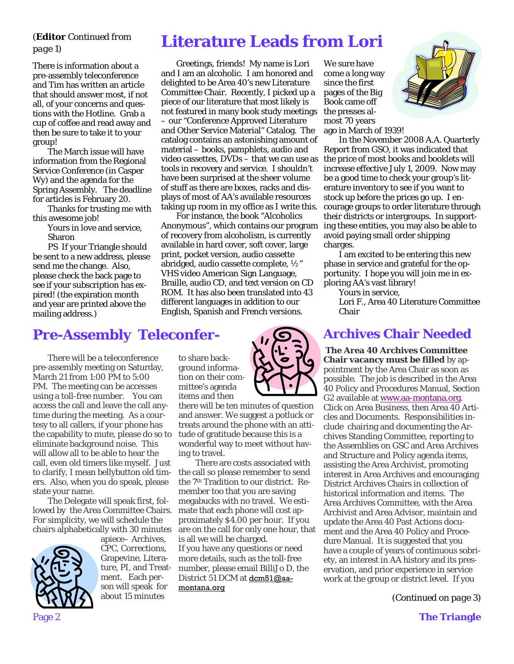# *(Editor Continued from page 1)*

There is information about a pre-assembly teleconference and Tim has written an article that should answer most, if not all, of your concerns and questions with the Hotline. Grab a cup of coffee and read away and then be sure to take it to your group!

The March issue will have information from the Regional Service Conference (in Casper Wy) and the agenda for the Spring Assembly. The deadline for articles is February 20.

Thanks for trusting me with this awesome job!

> Yours in love and service, Sharon

PS If your Triangle should be sent to a new address, please send me the change. Also, please check the back page to see if your subscription has expired! (the expiration month and year are printed above the mailing address.)

# **Pre-Assembly Teleconfer-**

There will be a teleconference pre-assembly meeting on Saturday, March 21 from 1:00 PM to 5:00 PM. The meeting can be accesses using a toll-free number. You can access the call and leave the call anytime during the meeting. As a courtesy to all callers, if your phone has the capability to mute, please do so to eliminate background noise. This will allow all to be able to hear the call, even old timers like myself. Just to clarify, I mean bellybutton old timers. Also, when you do speak, please state your name.

The Delegate will speak first, followed by the Area Committee Chairs. For simplicity, we will schedule the chairs alphabetically with 30 minutes

apiece– Archives, CPC, Corrections, Grapevine, Literature, PI, and Treatment. Each person will speak for about 15 minutes

to share background information on their committee's agenda items and then

there will be ten minutes of question and answer. We suggest a potluck or treats around the phone with an attitude of gratitude because this is a wonderful way to meet without having to travel.

Greetings, friends! My name is Lori and I am an alcoholic. I am honored and delighted to be Area 40's new Literature Committee Chair. Recently, I picked up a piece of our literature that most likely is not featured in many book study meetings – our "Conference Approved Literature and Other Service Material" Catalog. The catalog contains an astonishing amount of material – books, pamphlets, audio and video cassettes, DVDs – that we can use as tools in recovery and service. I shouldn't have been surprised at the sheer volume of stuff as there are boxes, racks and displays of most of AA's available resources taking up room in my office as I write this. For instance, the book "Alcoholics

**Literature Leads from Lori** 

of recovery from alcoholism, is currently available in hard cover, soft cover, large print, pocket version, audio cassette abridged, audio cassette complete, ½" VHS video American Sign Language, Braille, audio CD, and text version on CD ROM. It has also been translated into 43 different languages in addition to our English, Spanish and French versions.

> There are costs associated with the call so please remember to send the 7th Tradition to our district. Remember too that you are saving megabucks with no travel. We estimate that each phone will cost approximately \$4.00 per hour. If you are on the call for only one hour, that is all we will be charged. If you have any questions or need more details, such as the toll-free number, please email BilliJo D, the District 51 DCM at dcm51@aamontana.org

We sure have come a long way since the first pages of the Big Book came off the presses almost 70 years ago in March of 1939!

Anonymous", which contains our program ing these entities, you may also be able to In the November 2008 A.A. Quarterly Report from GSO, it was indicated that the price of most books and booklets will increase effective July 1, 2009. Now may be a good time to check your group's literature inventory to see if you want to stock up before the prices go up. I encourage groups to order literature through their districts or intergroups. In supportavoid paying small order shipping charges.

> I am excited to be entering this new phase in service and grateful for the opportunity. I hope you will join me in exploring AA's vast library!

Yours in service,

Lori F., Area 40 Literature Committee Chair

# **Archives Chair Needed**

**The Area 40 Archives Committee Chair vacancy must be filled** by appointment by the Area Chair as soon as possible. The job is described in the Area 40 Policy and Procedures Manual, Section G2 available at www.aa-montana.org. Click on Area Business, then Area 40 Articles and Documents. Responsibilities include chairing and documenting the Archives Standing Committee, reporting to the Assemblies on GSC and Area Archives and Structure and Policy agenda items, assisting the Area Archivist, promoting interest in Area Archives and encouraging District Archives Chairs in collection of historical information and items. The Area Archives Committee, with the Area Archivist and Area Advisor, maintain and update the Area 40 Past Actions document and the Area 40 Policy and Procedure Manual. It is suggested that you have a couple of years of continuous sobriety, an interest in AA history and its preservation, and prior experience in service work at the group or district level. If you

*(Continued on page 3)* 

**The Triangle** 



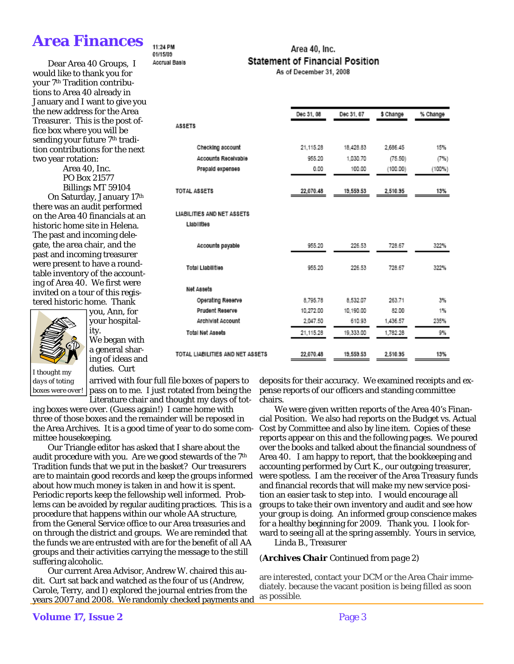# **Area Finances**

Dear Area 40 Groups, I would like to thank you for your 7th Tradition contributions to Area 40 already in January and I want to give you the new address for the Area Treasurer. This is the post office box where you will be sending your future 7<sup>th</sup> tradition contributions for the next two year rotation:

 Area 40, Inc. PO Box 21577 Billings MT 59104 On Saturday, January 17th there was an audit performed

on the Area 40 financials at an historic home site in Helena. The past and incoming delegate, the area chair, and the past and incoming treasurer were present to have a roundtable inventory of the accounting of Area 40. We first were invited on a tour of this registered historic home. Thank



your hospitality. We began with a general sharing of ideas and duties. Curt

you, Ann, for

*I thought my days of toting boxes were over!* 

arrived with four full file boxes of papers to pass on to me. I just rotated from being the Literature chair and thought my days of tot-

ing boxes were over. (Guess again!) I came home with three of those boxes and the remainder will be reposed in the Area Archives. It is a good time of year to do some committee housekeeping.

Our Triangle editor has asked that I share about the audit procedure with you. Are we good stewards of the 7th Tradition funds that we put in the basket? Our treasurers are to maintain good records and keep the groups informed about how much money is taken in and how it is spent. Periodic reports keep the fellowship well informed. Problems can be avoided by regular auditing practices. This is a procedure that happens within our whole AA structure, from the General Service office to our Area treasuries and on through the district and groups. We are reminded that the funds we are entrusted with are for the benefit of all AA groups and their activities carrying the message to the still suffering alcoholic.

Our current Area Advisor, Andrew W. chaired this audit. Curt sat back and watched as the four of us (Andrew, Carole, Terry, and I) explored the journal entries from the years 2007 and 2008. We randomly checked payments and

deposits for their accuracy. We examined receipts and expense reports of our officers and standing committee chairs.

We were given written reports of the Area 40's Financial Position. We also had reports on the Budget vs. Actual Cost by Committee and also by line item. Copies of these reports appear on this and the following pages. We poured over the books and talked about the financial soundness of Area 40. I am happy to report, that the bookkeeping and accounting performed by Curt K., our outgoing treasurer, were spotless. I am the receiver of the Area Treasury funds and financial records that will make my new service position an easier task to step into. I would encourage all groups to take their own inventory and audit and see how your group is doing. An informed group conscience makes for a healthy beginning for 2009. Thank you. I look forward to seeing all at the spring assembly. Yours in service,

Linda B., Treasurer

#### *(Archives Chair Continued from page 2)*

are interested, contact your DCM or the Area Chair immediately. because the vacant position is being filled as soon as possible.

#### 11:24 PM 01/15/09

**Accrual Basis** 

# Area 40, Inc. **Statement of Financial Position**

As of December 31, 2008

|                                                  | Dec 31, 08 | Dec 31, 07 | \$ Change | % Change  |
|--------------------------------------------------|------------|------------|-----------|-----------|
| <b>ASSETS</b>                                    |            |            |           |           |
| Checking account                                 | 21.115.28  | 18.428.83  | 2,686.45  | 15%       |
| <b>Accounts Receivable</b>                       | 955.20     | 1.030.70   | (75.50)   | (7%)      |
| Prepaid expenses                                 | 0.00       | 100.00     | (100.00)  | $(100\%)$ |
| TOTAL ASSETS                                     | 22,070.48  | 19,559.53  | 2,510.95  | 13%       |
| <b>LIABILITIES AND NET ASSETS</b><br>Liabilities |            |            |           |           |
| Accounts payable                                 | 955.20     | 226.53     | 728.67    | 322%      |
| Total Liabilities                                | 955.20     | 226.53     | 728.67    | 322%      |
| Net Assets                                       |            |            |           |           |
| Operating Reserve                                | 8.795.78   | 8.532.07   | 263.71    | 3%        |
| Prudent Reserve                                  | 10,272.00  | 10,190.00  | 82.00     | 1%        |
| <b>Archivist Account</b>                         | 2.047.50   | 610.93     | 1,436.57  | 235%      |
| Total Net Assets                                 | 21,115.28  | 19.333.00  | 1,782.28  | 9%        |
| TOTAL LIABILITIES AND NET ASSETS                 | 22.070.48  | 19.559.53  | 2.510.95  | 13%       |

# **Volume 17, Issue 2** Page 3 **Page 3**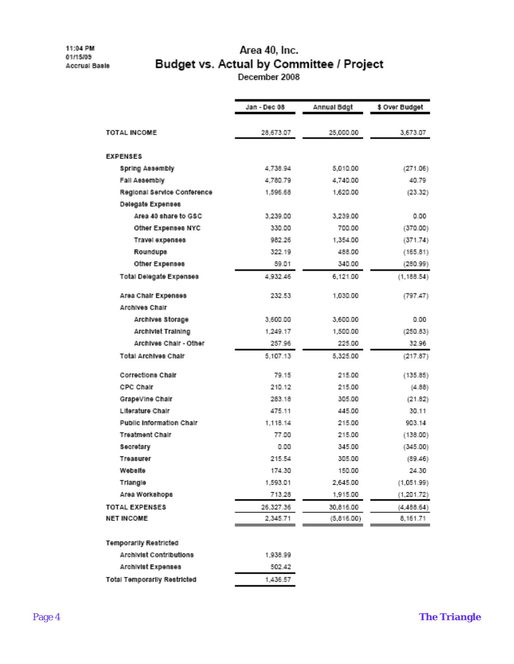# Area 40, Inc. Budget vs. Actual by Committee / Project December 2008

|                                 | Jan - Dec 08 | Annual Bdgt | \$Over Budget |
|---------------------------------|--------------|-------------|---------------|
| <b>TOTAL INCOME</b>             | 28,673.07    | 25,000.00   | 3,673.07      |
| <b>EXPENSES</b>                 |              |             |               |
| Spring Assembly                 | 4,738.94     | 5,010.00    | (271.06)      |
| Fall Assembly                   | 4,780.79     | 4,740.00    | 40.79         |
| Regional Service Conference     | 1,596.68     | 1,620.00    | (23.32)       |
| Delegate Expenses               |              |             |               |
| Area 40 share to GSC            | 3.239.00     | 3,239.00    | 0.00          |
| Other Expenses NYC              | 330.00       | 700.00      | (370.00)      |
| Travel expenses                 | 982.26       | 1,354.00    | (371.74)      |
| Roundups                        | 322.19       | 488.00      | (165.81)      |
| Other Expenses                  | 59.01        | 340.00      | (280.99)      |
| Total Delegate Expenses         | 4.932.46     | 6,121.00    | (1, 188.54)   |
| Area Chair Expenses             | 232.53       | 1,030.00    | (797.47)      |
| Archives Chair                  |              |             |               |
| Archives Storage                | 3.600.00     | 3,600.00    | 0.00          |
| Archivist Training              | 1.249.17     | 1,500.00    | (250.83)      |
| Archives Chair - Other          | 257.96       | 225.00      | 32.96         |
| Total Archives Chair            | 5,107.13     | 5,325.00    | (217.87)      |
| Corrections Chair               | 79.15        | 215.00      | (135.85)      |
| <b>CPC Chair</b>                | 210.12       | 215.00      | (4.88)        |
| GrapeVine Chair                 | 283.18       | 305.00      | (21.82)       |
| Literature Chair                | 475.11       | 445.00      | 30.11         |
| <b>Public Information Chair</b> | 1.118.14     | 215.00      | 903.14        |
| <b>Treatment Chair</b>          | 77.00        | 215.00      | (138.00)      |
| Secretary                       | 0.00         | 345.00      | (345.00)      |
| Treasurer                       | 215.54       | 305.00      | (89.46)       |
| Website                         | 174.30       | 150.00      | 24.30         |
| Triangle                        | 1,593.01     | 2,645.00    | (1,051.99)    |
| Area Workshops                  | 713.28       | 1,915.00    | (1, 201.72)   |
| TOTAL EXPENSES                  | 26,327.36    | 30,816.00   | (4, 488.64)   |
| <b>NET INCOME</b>               | 2,345.71     | (5,816.00)  | 8,161.71      |
| Temporarily Restricted          |              |             |               |
| Archivist Contributions         | 1,938.99     |             |               |
| Archivist Expenses              | 502.42       |             |               |
| Total Temporarily Restricted    | 1,436.57     |             |               |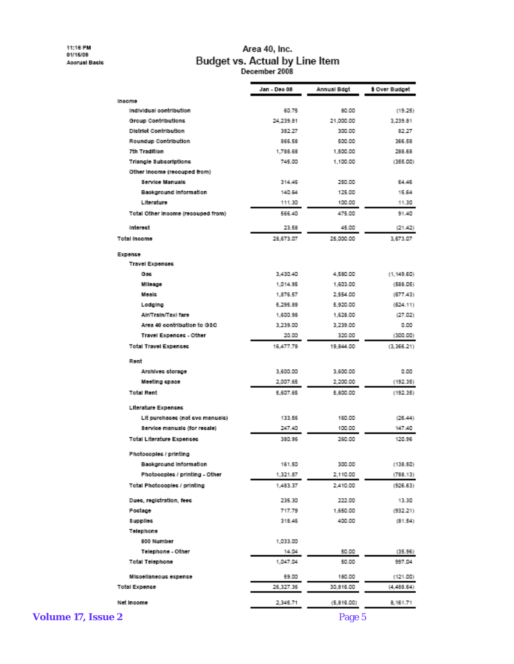# 11:16 PM<br>01/15/09 **Apprual Bacic**

# Area 40, Inc. Budget vs. Actual by Line Item

|                                    | Jan - Deo 08 | Annual Bdgt | ‡ Over Budget |
|------------------------------------|--------------|-------------|---------------|
| Inoome                             |              |             |               |
| individual contribution            | 60.75        | 80.00       | (19.25)       |
| <b>Group Contributions</b>         | 24,239.81    | 21,000.00   | 3,239.81      |
| <b>District Contribution</b>       | 382.27       | 300.00      | 82.27         |
| Roundup Contribution               | 866.58       | 500.00      | 366.58        |
| 7th Tradition                      | 1,788.68     | 1,500.00    | 288.68        |
| <b>Triangle Subcoriptions</b>      | 745.00       | 1.100.00    | (355.00)      |
| Other Income (recouped from)       |              |             |               |
| Service Manuals                    | 314.46       | 250.00      | 64.46         |
| Background Information             | 140.64       | 125.00      | 15.64         |
| Literature                         | 111.30       | 100.00      | 11.30         |
| Total Other Income (recouped from) | 566.40       | 475.00      | 91.40         |
| Interest                           | 23.58        | 45.00       | (21.42)       |
| Total Income                       | 28,673.07    | 25,000.00   | 3,673.07      |
| Expense                            |              |             |               |
| <b>Travel Expenses</b>             |              |             |               |
| Gac                                | 3,430.40     | 4,580.00    | (1, 149.60)   |
| Mileage                            | 1,014.95     | 1,603.00    | (588.05)      |
| Meals                              | 1,876.57     | 2,554.00    | (677.43)      |
| Lodging                            | 5,295.89     | 5,920.00    | (624.11)      |
| Air/Train/Taxi fare                | 1,600.98     | 1,628.00    | (27.02)       |
| Area 40 contribution to GSC        | 3,239.00     | 3,239.00    | 0.00          |
| Travel Expenses - Other            | 20.00        | 320.00      | (300.00)      |
| <b>Total Travel Expenses</b>       | 16,477.79    | 19,844.00   | (3,366.21)    |
| Rent                               |              |             |               |
| Archives storage                   | 3,600.00     | 3,600.00    | 0.00          |
| Meeting space                      | 2,007.65     | 2,200.00    | (192.35)      |
| <b>Total Rent</b>                  | 5,607.65     | 5,800.00    | (192.35)      |
| Literature Expenses                |              |             |               |
| Lit purchases (not svo manuals)    | 133.56       | 160.00      | (26.44)       |
| Service manuals (for resale)       | 247.40       | 100.00      | 147.40        |
| <b>Total Literature Expenses</b>   | 380.96       | 260.00      | 120.96        |
| Photocopies / printing             |              |             |               |
| Background Information             | 161.50       | 300.00      | (138.50)      |
| Photocopies / printing - Other     | 1,321.87     | 2,110.00    | (788.13)      |
| Total Photocopies / printing       | 1,483.37     | 2,410.00    | (926.63)      |
| Dues, registration, fees           | 235.30       | 222.00      | 13.30         |
| Postage                            | 717.79       | 1,650.00    | (932.21)      |
| Supplies                           | 318.46       | 400.00      | (81.54)       |
| Telephone                          |              |             |               |
| 800 Number                         | 1,033.00     |             |               |
| Telephone - Other                  | 14.04        | 50.00       | (35.96)       |
| Total Telephone                    | 1,047.04     | 50.00       | 997.04        |
| Miccellaneous expense              | 59.00        | 180.00      | (121.00)      |
| Total Expense                      | 26,327.36    | 30,816.00   | (4, 488.64)   |
| Net Income                         | 2,345.71     | (5,816.00)  | 8,161.71      |
|                                    |              |             |               |

**Volume 17, Issue 2** Page 5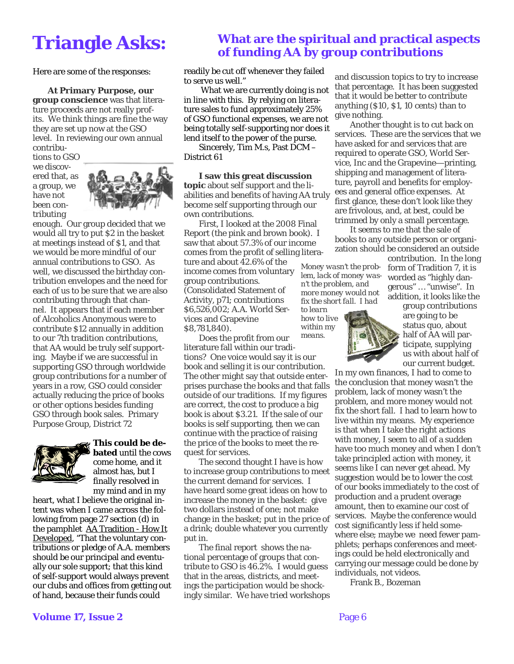Here are some of the responses:

**At Primary Purpose, our group conscience** was that literature proceeds are not really profits. We think things are fine the way they are set up now at the GSO level. In reviewing our own annual contribu-

tions to GSO we discovered that, as a group, we have not been contributing



enough. Our group decided that we would all try to put \$2 in the basket at meetings instead of \$1, and that we would be more mindful of our annual contributions to GSO. As well, we discussed the birthday contribution envelopes and the need for each of us to be sure that we are also contributing through that channel. It appears that if each member of Alcoholics Anonymous were to contribute \$12 annually in addition to our 7th tradition contributions, that AA would be truly self supporting. Maybe if we are successful in supporting GSO through worldwide group contributions for a number of years in a row, GSO could consider actually reducing the price of books or other options besides funding GSO through book sales. Primary Purpose Group, District 72



#### **This could be debated** until the cows come home, and it almost has, but I finally resolved in my mind and in my

heart, what I believe the original intent was when I came across the following from page 27 section (d) in the pamphlet AA Tradition - How It Developed, "That the voluntary contributions or pledge of A.A. members should be our principal and eventually our sole support; that this kind of self-support would always prevent our clubs and offices from getting out of hand, because their funds could

# **Triangle Asks: What are the spiritual and practical aspects of funding AA by group contributions**

readily be cut off whenever they failed to serve us well."

 What we are currently doing is not in line with this. By relying on literature sales to fund approximately 25% of GSO functional expenses, we are not being totally self-supporting nor does it lend itself to the power of the purse.

Sincerely, Tim M.s, Past DCM – District 61

**I saw this great discussion topic** about self support and the liabilities and benefits of having AA truly become self supporting through our own contributions.

First, I looked at the 2008 Final Report (the pink and brown book). I saw that about 57.3% of our income comes from the profit of selling literature and about 42.6% of the income comes from voluntary group contributions. (Consolidated Statement of Activity, p71; contributions \$6,526,002; A.A. World Services and Grapevine \$8,781,840).

Does the profit from our literature fall within our traditions? One voice would say it is our book and selling it is our contribution. The other might say that outside enterprises purchase the books and that falls outside of our traditions. If my figures are correct, the cost to produce a big book is about \$3.21. If the sale of our books is self supporting, then we can continue with the practice of raising the price of the books to meet the request for services.

The second thought I have is how to increase group contributions to meet the current demand for services. I have heard some great ideas on how to increase the money in the basket: give two dollars instead of one; not make change in the basket; put in the price of a drink; double whatever you currently put in.

The final report shows the national percentage of groups that contribute to GSO is 46.2%. I would guess that in the areas, districts, and meetings the participation would be shockingly similar. We have tried workshops

and discussion topics to try to increase that percentage. It has been suggested that it would be better to contribute anything (\$10, \$1, 10 cents) than to give nothing.

Another thought is to cut back on services. These are the services that we have asked for and services that are required to operate GSO, World Service, Inc and the Grapevine—printing, shipping and management of literature, payroll and benefits for employees and general office expenses. At first glance, these don't look like they are frivolous, and, at best, could be trimmed by only a small percentage.

It seems to me that the sale of books to any outside person or organization should be considered an outside

*Money wasn't the problem, lack of money wasn't the problem, and more money would not fix the short fall. I had* 

*to learn how to live within my means.* 



contribution. In the long form of Tradition 7, it is worded as "highly dangerous" … "unwise". In addition, it looks like the

group contributions are going to be status quo, about half of AA will participate, supplying us with about half of our current budget.

In my own finances, I had to come to the conclusion that money wasn't the problem, lack of money wasn't the problem, and more money would not fix the short fall. I had to learn how to live within my means. My experience is that when I take the right actions with money, I seem to all of a sudden have too much money and when I don't take principled action with money, it seems like I can never get ahead. My suggestion would be to lower the cost of our books immediately to the cost of production and a prudent overage amount, then to examine our cost of services. Maybe the conference would cost significantly less if held somewhere else; maybe we need fewer pamphlets; perhaps conferences and meetings could be held electronically and carrying our message could be done by individuals, not videos.

Frank B., Bozeman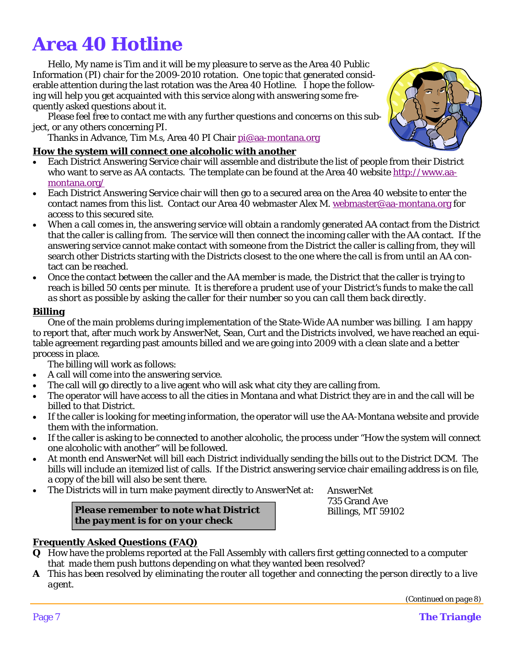# **Area 40 Hotline**

Hello, My name is Tim and it will be my pleasure to serve as the Area 40 Public Information (PI) chair for the 2009-2010 rotation. One topic that generated considerable attention during the last rotation was the Area 40 Hotline. I hope the following will help you get acquainted with this service along with answering some frequently asked questions about it.

Please feel free to contact me with any further questions and concerns on this subject, or any others concerning PI.

Thanks in Advance, Tim M.s, Area 40 PI Chair pi@aa-montana.org

# **How the system will connect one alcoholic with another**

- Each District Answering Service chair will assemble and distribute the list of people from their District who want to serve as AA contacts. The template can be found at the Area 40 website http://www.aamontana.org/
- Each District Answering Service chair will then go to a secured area on the Area 40 website to enter the contact names from this list. Contact our Area 40 webmaster Alex M. webmaster@aa-montana.org for access to this secured site.
- When a call comes in, the answering service will obtain a randomly generated AA contact from the District that the caller is calling from. The service will then connect the incoming caller with the AA contact. If the answering service cannot make contact with someone from the District the caller is calling from, they will search other Districts starting with the Districts closest to the one where the call is from until an AA contact can be reached.
- Once the contact between the caller and the AA member is made, the District that the caller is trying to reach is billed 50 cents per minute. *It is therefore a prudent use of your District's funds to make the call as short as possible by asking the caller for their number so you can call them back directly.*

# **Billing**

One of the main problems during implementation of the State-Wide AA number was billing. I am happy to report that, after much work by AnswerNet, Sean, Curt and the Districts involved, we have reached an equitable agreement regarding past amounts billed and we are going into 2009 with a clean slate and a better process in place.

The billing will work as follows:

- A call will come into the answering service.
- The call will go directly to a live agent who will ask what city they are calling from.
- The operator will have access to all the cities in Montana and what District they are in and the call will be billed to that District.
- If the caller is looking for meeting information, the operator will use the AA-Montana website and provide them with the information.
- If the caller is asking to be connected to another alcoholic, the process under "How the system will connect one alcoholic with another" will be followed.
- At month end AnswerNet will bill each District individually sending the bills out to the District DCM. The bills will include an itemized list of calls. If the District answering service chair emailing address is on file, a copy of the bill will also be sent there.
- The Districts will in turn make payment directly to AnswerNet at:

*Please remember to note what District* **Example 2 8 Follows** Billings, MT 59102 *the payment is for on your check* 

AnswerNet 735 Grand Ave

# **Frequently Asked Questions (FAQ)**

- **Q** How have the problems reported at the Fall Assembly with callers first getting connected to a computer that made them push buttons depending on what they wanted been resolved?
- **A** *This has been resolved by eliminating the router all together and connecting the person directly to a live agent.*

*(Continued on page 8)* 

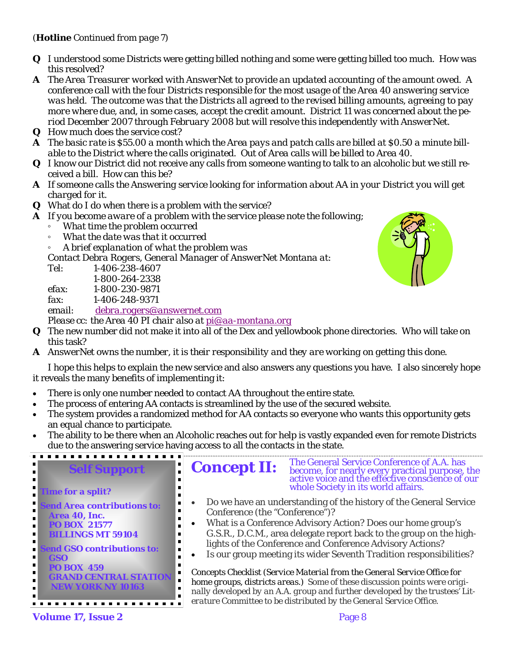# *(Hotline Continued from page 7)*

- **Q** I understood some Districts were getting billed nothing and some were getting billed too much. How was this resolved?
- **A** *The Area Treasurer worked with AnswerNet to provide an updated accounting of the amount owed. A conference call with the four Districts responsible for the most usage of the Area 40 answering service was held. The outcome was that the Districts all agreed to the revised billing amounts, agreeing to pay more where due, and, in some cases, accept the credit amount. District 11 was concerned about the period December 2007 through February 2008 but will resolve this independently with AnswerNet.*
- **Q** How much does the service cost?
- **A** *The basic rate is \$55.00 a month which the Area pays and patch calls are billed at \$0.50 a minute billable to the District where the calls originated. Out of Area calls will be billed to Area 40.*
- **Q** I know our District did not receive any calls from someone wanting to talk to an alcoholic but we still received a bill. How can this be?
- **A** *If someone calls the Answering service looking for information about AA in your District you will get charged for it.*
- **Q** What do I do when there is a problem with the service?
- **A** *If you become aware of a problem with the service please note the following;* 
	- *◦ What time the problem occurred*
	- *◦ What the date was that it occurred*
	- *◦ A brief explanation of what the problem was*

*Contact Debra Rogers, General Manager of AnswerNet Montana at:* 

- *Tel: 1-406-238-4607* 
	- *1-800-264-2338*
- *efax: 1-800-230-9871*
- *fax: 1-406-248-9371*

*email: debra.rogers@answernet.com*

*Please cc: the Area 40 PI chair also at pi@aa-montana.org*

- **Q** The new number did not make it into all of the Dex and yellowbook phone directories. Who will take on this task?
- **A** *AnswerNet owns the number, it is their responsibility and they are working on getting this done.*

I hope this helps to explain the new service and also answers any questions you have. I also sincerely hope it reveals the many benefits of implementing it:

- There is only one number needed to contact AA throughout the entire state.
- The process of entering AA contacts is streamlined by the use of the secured website.
- The system provides a randomized method for AA contacts so everyone who wants this opportunity gets an equal chance to participate.
- The ability to be there when an Alcoholic reaches out for help is vastly expanded even for remote Districts due to the answering service having access to all the contacts in the state.



The General Service Conference of A.A. has become, for nearly every practical purpose, the active voice and the effective conscience of our whole Society in its world affairs.

- Do we have an understanding of the history of the General Service Conference (the "Conference")?
- What is a Conference Advisory Action? Does our home group's G.S.R., D.C.M., area delegate report back to the group on the highlights of the Conference and Conference Advisory Actions?
- Is our group meeting its wider Seventh Tradition responsibilities?

*Concepts Checklist (Service Material from the General Service Office for home groups, districts areas.) Some of these discussion points were originally developed by an A.A. group and further developed by the trustees' Literature Committee to be distributed by the General Service Office.* 

**Volume 17, Issue 2** Page 8 Page 8 Page 8 Page 8 Page 8 Page 8 Page 8 Page 8 Page 8 Page 8 Page 8 Page 8 Page 8

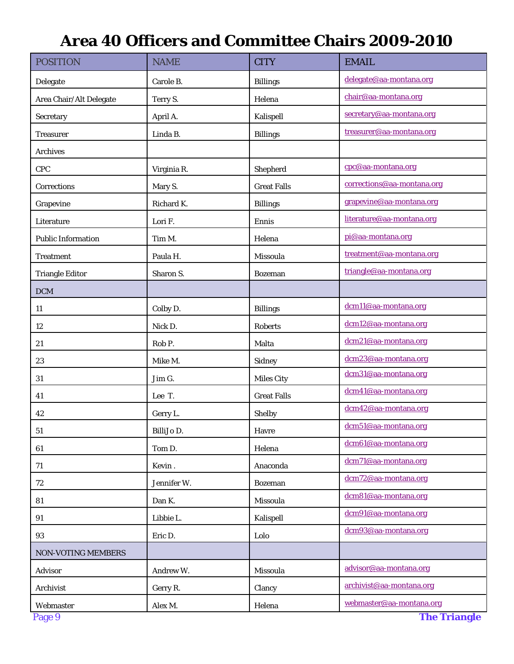# **Area 40 Officers and Committee Chairs 2009-2010**

| <b>POSITION</b>           | <b>NAME</b> | <b>CITY</b>        | <b>EMAIL</b>               |
|---------------------------|-------------|--------------------|----------------------------|
| Delegate                  | Carole B.   | <b>Billings</b>    | delegate@aa-montana.org    |
| Area Chair/Alt Delegate   | Terry S.    | Helena             | chair@aa-montana.org       |
| Secretary                 | April A.    | Kalispell          | secretary@aa-montana.org   |
| <b>Treasurer</b>          | Linda B.    | <b>Billings</b>    | treasurer@aa-montana.org   |
| <b>Archives</b>           |             |                    |                            |
| <b>CPC</b>                | Virginia R. | Shepherd           | cpc@aa-montana.org         |
| Corrections               | Mary S.     | <b>Great Falls</b> | corrections@aa-montana.org |
| Grapevine                 | Richard K.  | <b>Billings</b>    | grapevine@aa-montana.org   |
| Literature                | Lori F.     | Ennis              | literature@aa-montana.org  |
| <b>Public Information</b> | Tim M.      | Helena             | pi@aa-montana.org          |
| <b>Treatment</b>          | Paula H.    | Missoula           | treatment@aa-montana.org   |
| <b>Triangle Editor</b>    | Sharon S.   | <b>Bozeman</b>     | triangle@aa-montana.org    |
| DCM                       |             |                    |                            |
| 11                        | Colby D.    | <b>Billings</b>    | dcm11@aa-montana.org       |
| 12                        | Nick D.     | Roberts            | dcm12@aa-montana.org       |
| 21                        | Rob P.      | Malta              | dcm21@aa-montana.org       |
| 23                        | Mike M.     | Sidney             | dcm23@aa-montana.org       |
| 31                        | Jim G.      | <b>Miles City</b>  | dcm31@aa-montana.org       |
| 41                        | Lee T.      | <b>Great Falls</b> | dcm41@aa-montana.org       |
| 42                        | Gerry L.    | Shelby             | dcm42@aa-montana.org       |
| 51                        | BilliJo D.  | Havre              | dcm51@aa-montana.org       |
| 61                        | Tom D.      | Helena             | dcm61@aa-montana.org       |
| 71                        | Kevin.      | Anaconda           | dcm71@aa-montana.org       |
| 72                        | Jennifer W. | <b>Bozeman</b>     | dcm72@aa-montana.org       |
| 81                        | Dan K.      | Missoula           | dcm81@aa-montana.org       |
| 91                        | Libbie L.   | Kalispell          | dcm91@aa-montana.org       |
| 93                        | Eric D.     | Lolo               | dcm93@aa-montana.org       |
| NON-VOTING MEMBERS        |             |                    |                            |
| Advisor                   | Andrew W.   | Missoula           | advisor@aa-montana.org     |
| Archivist                 | Gerry R.    | Clancy             | archivist@aa-montana.org   |
| Webmaster                 | Alex M.     | Helena             | webmaster@aa-montana.org   |
| Page 9                    |             |                    | <b>The Triangle</b>        |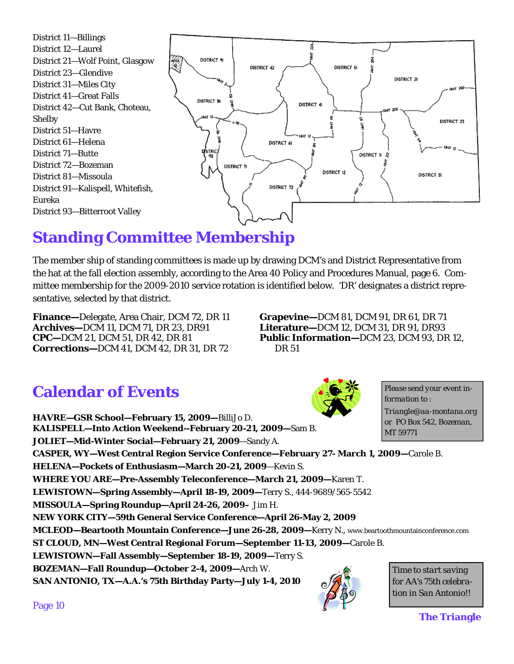

# **Standing Committee Membership**

The member ship of standing committees is made up by drawing DCM's and District Representative from the hat at the fall election assembly, according to the Area 40 Policy and Procedures Manual, page 6. Committee membership for the 2009-2010 service rotation is identified below. 'DR' designates a district representative, selected by that district.

**Finance—**Delegate, Area Chair, DCM 72, DR 11 **Archives—**DCM 11, DCM 71, DR 23, DR91 **CPC—**DCM 21, DCM 51, DR 42, DR 81 **Corrections—**DCM 41, DCM 42, DR 31, DR 72

**Grapevine—**DCM 81, DCM 91, DR 61, DR 71 **Literature—**DCM 12, DCM 31, DR 91, DR93 **Public Information—**DCM 23, DCM 93, DR 12, DR 51

# **Calendar of Events**

**HAVRE—GSR School—February 15, 2009—**BilliJo D. **KALISPELL—Into Action Weekend--February 20-21, 2009—**Sam B. **JOLIET—Mid-Winter Social—February 21, 2009**—Sandy A. **CASPER, WY—West Central Region Service Conference—February 27- March 1, 2009—**Carole B. **HELENA—Pockets of Enthusiasm—March 20-21, 2009**—Kevin S. **WHERE YOU ARE—Pre-Assembly Teleconference—March 21, 2009—**Karen T. **LEWISTOWN—Spring Assembly—April 18-19, 2009—**Terry S., 444-9689/565-5542 **MISSOULA—Spring Roundup—April 24-26, 2009–** Jim H. **NEW YORK CITY—59th General Service Conference—April 26-May 2, 2009 MCLEOD—Beartooth Mountain Conference—June 26-28, 2009—**Kerry N., www.beartoothmountainconference.com **ST CLOUD, MN—West Central Regional Forum—September 11-13, 2009—**Carole B. **LEWISTOWN—Fall Assembly—September 18-19, 2009—**Terry S. **BOZEMAN—Fall Roundup—October 2-4, 2009—**Arch W. **SAN ANTONIO, TX—A.A.'s 75th Birthday Party—July 1-4, 2010**  *Triangle@aa-montana.org or PO Box 542, Bozeman, MT 59771 Time to start saving for AA's 75th celebra-*



*tion in San Antonio!!* 

*Please send your event in-*

*formation to :*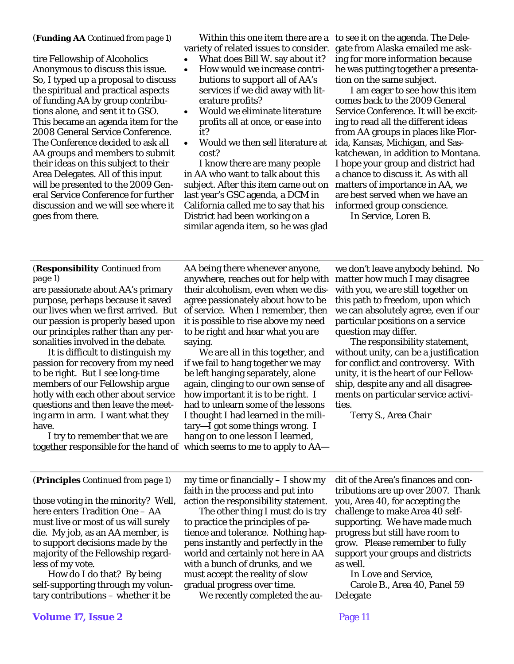#### *(Funding AA Continued from page 1)*

tire Fellowship of Alcoholics Anonymous to discuss this issue. So, I typed up a proposal to discuss the spiritual and practical aspects of funding AA by group contributions alone, and sent it to GSO. This became an agenda item for the 2008 General Service Conference. The Conference decided to ask all AA groups and members to submit their ideas on this subject to their Area Delegates. All of this input will be presented to the 2009 General Service Conference for further discussion and we will see where it goes from there.

variety of related issues to consider.

- What does Bill W. say about it?
- How would we increase contributions to support all of AA's services if we did away with literature profits?
- Would we eliminate literature profits all at once, or ease into it?
- Would we then sell literature at cost?

I know there are many people in AA who want to talk about this subject. After this item came out on last year's GSC agenda, a DCM in California called me to say that his District had been working on a similar agenda item, so he was glad

Within this one item there are a to see it on the agenda. The Delegate from Alaska emailed me asking for more information because he was putting together a presentation on the same subject.

> I am eager to see how this item comes back to the 2009 General Service Conference. It will be exciting to read all the different ideas from AA groups in places like Florida, Kansas, Michigan, and Saskatchewan, in addition to Montana. I hope your group and district had a chance to discuss it. As with all matters of importance in AA, we are best served when we have an informed group conscience.

In Service, Loren B.

#### *(Responsibility Continued from page 1)*

are passionate about AA's primary purpose, perhaps because it saved our lives when we first arrived. But our passion is properly based upon our principles rather than any personalities involved in the debate.

It is difficult to distinguish my passion for recovery from my need to be right. But I see long-time members of our Fellowship argue hotly with each other about service questions and then leave the meeting arm in arm. I want what they have.

I try to remember that we are together responsible for the hand of

AA being there whenever anyone, anywhere, reaches out for help with matter how much I may disagree their alcoholism, even when we disagree passionately about how to be of service. When I remember, then it is possible to rise above my need to be right and hear what you are saying.

We are all in this together, and if we fail to hang together we may be left hanging separately, alone again, clinging to our own sense of how important it is to be right. I had to unlearn some of the lessons I thought I had learned in the military—I got some things wrong. I hang on to one lesson I learned, which seems to me to apply to AA—

we don't leave anybody behind. No with you, we are still together on this path to freedom, upon which we can absolutely agree, even if our particular positions on a service question may differ.

The responsibility statement, without unity, can be a justification for conflict and controversy. With unity, it is the heart of our Fellowship, despite any and all disagreements on particular service activities.

Terry S., Area Chair

#### *(Principles Continued from page 1)*

those voting in the minority? Well, here enters Tradition One – AA must live or most of us will surely die. My job, as an AA member, is to support decisions made by the majority of the Fellowship regardless of my vote.

How do I do that? By being self-supporting through my voluntary contributions – whether it be

my time or financially  $-$  I show my faith in the process and put into action the responsibility statement.

The other thing I must do is try to practice the principles of patience and tolerance. Nothing happens instantly and perfectly in the world and certainly not here in AA with a bunch of drunks, and we must accept the reality of slow gradual progress over time.

We recently completed the au-

dit of the Area's finances and contributions are up over 2007. Thank you, Area 40, for accepting the challenge to make Area 40 selfsupporting. We have made much progress but still have room to grow. Please remember to fully support your groups and districts as well.

In Love and Service, Carole B., Area 40, Panel 59 Delegate